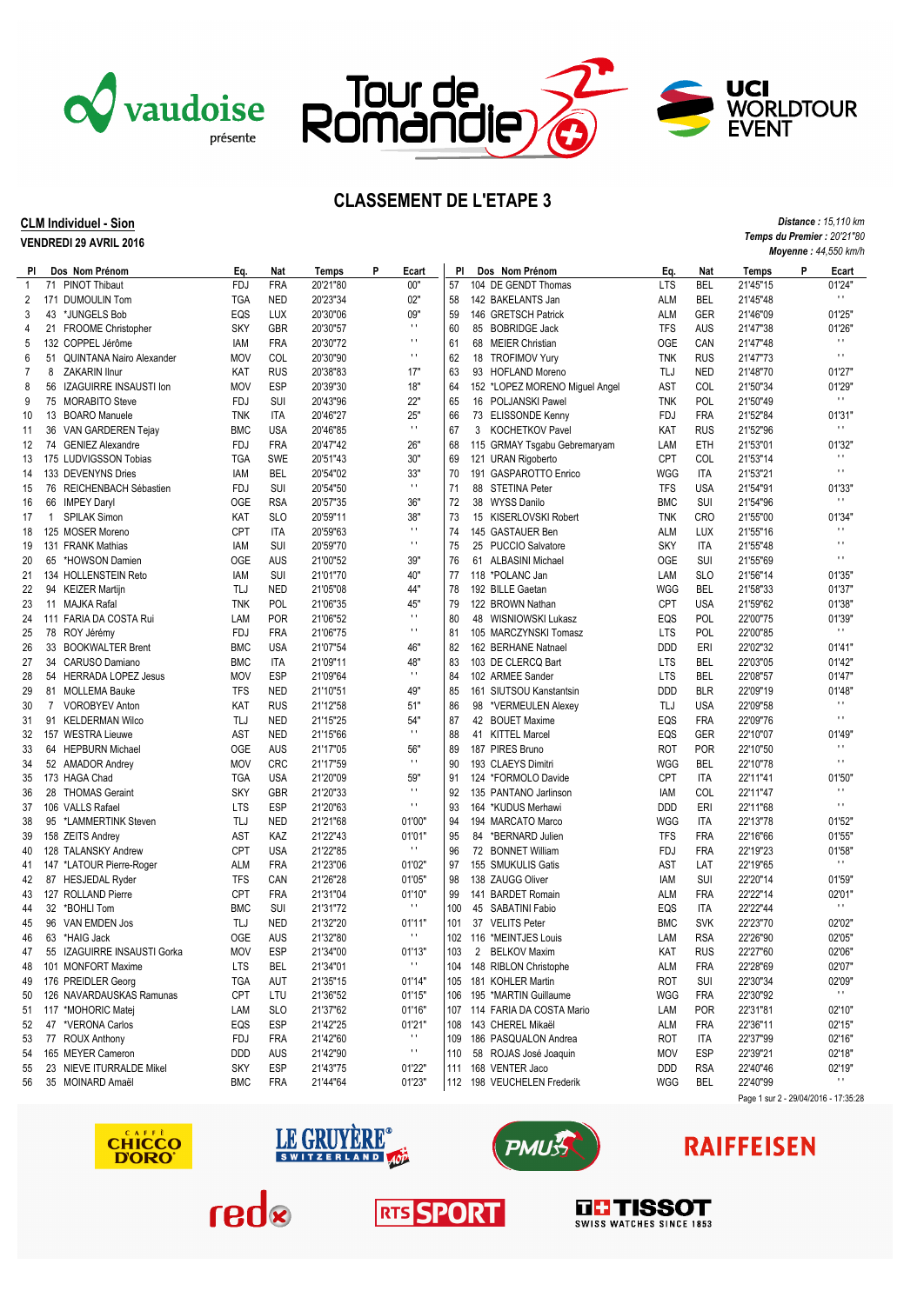



Ŧ

Tour de<br>Romandie

## **CLM Individuel - Sion**

**VENDREDI 29 AVRIL 2016**

|              |              |                             | <b>Moyenne : 44,550 km/h</b> |            |          |                        |     |  |  |                                |            |            |                                      |   |                          |
|--------------|--------------|-----------------------------|------------------------------|------------|----------|------------------------|-----|--|--|--------------------------------|------------|------------|--------------------------------------|---|--------------------------|
| PI.          |              | Dos Nom Prénom              | Eq.                          | Nat        | Temps    | Ρ<br>Ecart             | PI  |  |  | Dos Nom Prénom                 | Eq.        | Nat        | Temps                                | P | Ecart                    |
| $\mathbf{1}$ |              | 71 PINOT Thibaut            | <b>FDJ</b>                   | <b>FRA</b> | 20'21"80 | 00"                    | 57  |  |  | 104 DE GENDT Thomas            | <b>LTS</b> | <b>BEL</b> | 21'45"15                             |   | 01'24"                   |
| 2            |              | 171 DUMOULIN Tom            | TGA                          | <b>NED</b> | 20'23"34 | 02"                    | 58  |  |  | 142 BAKELANTS Jan              | <b>ALM</b> | <b>BEL</b> | 21'45"48                             |   | $\mathbf{H}$             |
| 3            |              | 43 *JUNGELS Bob             | EQS                          | LUX        | 20'30"06 | 09"                    | 59  |  |  | 146 GRETSCH Patrick            | <b>ALM</b> | GER        | 21'46"09                             |   | 01'25"                   |
| 4            |              | 21 FROOME Christopher       | <b>SKY</b>                   | <b>GBR</b> | 20'30"57 | $\mathbf{H}$           | 60  |  |  | 85 BOBRIDGE Jack               | <b>TFS</b> | AUS        | 21'47"38                             |   | 01'26'                   |
| 5            |              | 132 COPPEL Jérôme           | IAM                          | <b>FRA</b> | 20'30"72 | $\mathbf{r}$           | 61  |  |  | 68 MEIER Christian             | <b>OGE</b> | CAN        | 21'47"48                             |   | $\blacksquare$           |
| 6            |              | 51 QUINTANA Nairo Alexander | <b>MOV</b>                   | COL        | 20'30"90 | $\mathbf{r}$           | 62  |  |  | 18 TROFIMOV Yury               | <b>TNK</b> | <b>RUS</b> | 21'47"73                             |   | $\mathbf{r}$             |
| 7            | 8            | <b>ZAKARIN Ilnur</b>        | KAT                          | <b>RUS</b> | 20'38"83 | 17"                    | 63  |  |  | 93 HOFLAND Moreno              | TLJ        | <b>NED</b> | 21'48"70                             |   | 01'27"                   |
| 8            |              | 56 IZAGUIRRE INSAUSTI Ion   | <b>MOV</b>                   | <b>ESP</b> | 20'39"30 | 18"                    | 64  |  |  | 152 *LOPEZ MORENO Miguel Angel | AST        | COL        | 21'50"34                             |   | 01'29"                   |
| 9            |              | 75 MORABITO Steve           | <b>FDJ</b>                   | SUI        | 20'43"96 | 22"                    | 65  |  |  | 16 POLJANSKI Pawel             | <b>TNK</b> | <b>POL</b> | 21'50"49                             |   | $\mathbf{r}$             |
| 10           |              | 13 BOARO Manuele            | <b>TNK</b>                   | <b>ITA</b> | 20'46"27 | 25"                    | 66  |  |  | 73 ELISSONDE Kenny             | <b>FDJ</b> | <b>FRA</b> | 21'52"84                             |   | 01'31"                   |
| 11           |              | 36 VAN GARDEREN Tejay       | <b>BMC</b>                   | <b>USA</b> | 20'46"85 | $\mathbf{r}$ .         | 67  |  |  | 3 KOCHETKOV Pavel              | KAT        | <b>RUS</b> | 21'52"96                             |   | $\mathbf{H}$             |
| 12           |              | 74 GENIEZ Alexandre         | <b>FDJ</b>                   | <b>FRA</b> | 20'47"42 | 26"                    | 68  |  |  | 115 GRMAY Tsgabu Gebremaryam   | LAM        | ETH        | 21'53"01                             |   | 01'32'                   |
| 13           |              | 175 LUDVIGSSON Tobias       | <b>TGA</b>                   | <b>SWE</b> | 20'51"43 | 30"                    | 69  |  |  | 121 URAN Rigoberto             | <b>CPT</b> | <b>COL</b> | 21'53"14                             |   | $\blacksquare$           |
|              |              |                             | <b>IAM</b>                   | <b>BEL</b> | 20'54"02 | 33"                    | 70  |  |  | 191 GASPAROTTO Enrico          | <b>WGG</b> | <b>ITA</b> | 21'53"21                             |   | $\mathbf{r}$             |
| 14           |              | 133 DEVENYNS Dries          |                              |            |          | $\mathbf{r}$ .         |     |  |  |                                |            |            |                                      |   |                          |
| 15           |              | 76 REICHENBACH Sébastien    | <b>FDJ</b>                   | <b>SUI</b> | 20'54"50 |                        | 71  |  |  | 88 STETINA Peter               | <b>TFS</b> | <b>USA</b> | 21'54"91                             |   | 01'33"<br>$\mathbf{r}$   |
| 16           |              | 66 IMPEY Daryl              | <b>OGE</b>                   | <b>RSA</b> | 20'57"35 | 36"                    | 72  |  |  | 38 WYSS Danilo                 | <b>BMC</b> | SUI        | 21'54"96                             |   |                          |
| 17           | $\mathbf{1}$ | <b>SPILAK Simon</b>         | KAT                          | <b>SLO</b> | 20'59"11 | 38"                    | 73  |  |  | 15 KISERLOVSKI Robert          | <b>TNK</b> | <b>CRO</b> | 21'55"00                             |   | 01'34"<br>$\blacksquare$ |
| 18           |              | 125 MOSER Moreno            | <b>CPT</b>                   | <b>ITA</b> | 20'59"63 | $\pm$ 1                | 74  |  |  | 145 GASTAUER Ben               | <b>ALM</b> | <b>LUX</b> | 21'55"16                             |   |                          |
| 19           |              | 131 FRANK Mathias           | IAM                          | SUI        | 20'59"70 | $\mathbf{r}$ .         | 75  |  |  | 25 PUCCIO Salvatore            | <b>SKY</b> | <b>ITA</b> | 21'55"48                             |   | $\blacksquare$           |
| 20           |              | 65 *HOWSON Damien           | <b>OGE</b>                   | AUS        | 21'00"52 | 39"                    | 76  |  |  | 61 ALBASINI Michael            | <b>OGE</b> | SUI        | 21'55"69                             |   | $\blacksquare$           |
| 21           |              | 134 HOLLENSTEIN Reto        | <b>IAM</b>                   | SUI        | 21'01"70 | 40"                    | 77  |  |  | 118 *POLANC Jan                | LAM        | <b>SLO</b> | 21'56"14                             |   | 01'35"                   |
| 22           |              | 94 KEIZER Martijn           | TLJ                          | <b>NED</b> | 21'05"08 | 44"                    | 78  |  |  | 192 BILLE Gaetan               | <b>WGG</b> | <b>BEL</b> | 21'58"33                             |   | 01'37"                   |
| 23           |              | 11 MAJKA Rafal              | <b>TNK</b>                   | <b>POL</b> | 21'06"35 | 45"                    | 79  |  |  | 122 BROWN Nathan               | <b>CPT</b> | <b>USA</b> | 21'59"62                             |   | 01'38"                   |
| 24           |              | 111 FARIA DA COSTA Rui      | LAM                          | <b>POR</b> | 21'06"52 | $\pm$                  | 80  |  |  | 48 WISNIOWSKI Lukasz           | EQS        | POL        | 22'00"75                             |   | 01'39"                   |
| 25           |              | 78 ROY Jérémy               | <b>FDJ</b>                   | <b>FRA</b> | 21'06"75 | $\mathbf{r}$ .         | 81  |  |  | 105 MARCZYNSKI Tomasz          | <b>LTS</b> | <b>POL</b> | 22'00"85                             |   | $\mathbf{r}$             |
| 26           |              | 33 BOOKWALTER Brent         | <b>BMC</b>                   | <b>USA</b> | 21'07"54 | 46"                    | 82  |  |  | 162 BERHANE Natnael            | <b>DDD</b> | ERI        | 22'02"32                             |   | 01'41"                   |
| 27           |              | 34 CARUSO Damiano           | <b>BMC</b>                   | <b>ITA</b> | 21'09"11 | 48"                    | 83  |  |  | 103 DE CLERCQ Bart             | <b>LTS</b> | <b>BEL</b> | 22'03"05                             |   | 01'42"                   |
| 28           |              | 54 HERRADA LOPEZ Jesus      | <b>MOV</b>                   | <b>ESP</b> | 21'09"64 | $\mathbf{r}$ .         | 84  |  |  | 102 ARMEE Sander               | <b>LTS</b> | <b>BEL</b> | 22'08"57                             |   | 01'47"                   |
| 29           |              | 81 MOLLEMA Bauke            | <b>TFS</b>                   | <b>NED</b> | 21'10"51 | 49"                    | 85  |  |  | 161 SIUTSOU Kanstantsin        | <b>DDD</b> | <b>BLR</b> | 22'09"19                             |   | 01'48"                   |
| 30           | 7            | VOROBYEV Anton              | KAT                          | <b>RUS</b> | 21'12"58 | 51"                    | 86  |  |  | 98 *VERMEULEN Alexey           | TLJ        | <b>USA</b> | 22'09"58                             |   | $\blacksquare$           |
| 31           |              | 91 KELDERMAN Wilco          | TLJ                          | <b>NED</b> | 21'15"25 | 54"                    | 87  |  |  | 42 BOUET Maxime                | EQS        | <b>FRA</b> | 22'09"76                             |   | $\mathbf{r}$             |
| 32           |              | 157 WESTRA Lieuwe           | <b>AST</b>                   | <b>NED</b> | 21'15"66 | $\mathbf{r}$ .         | 88  |  |  | 41 KITTEL Marcel               | EQS        | <b>GER</b> | 22'10"07                             |   | 01'49"                   |
| 33           |              | 64 HEPBURN Michael          | <b>OGE</b>                   | AUS        | 21'17"05 | 56"                    | 89  |  |  | 187 PIRES Bruno                | <b>ROT</b> | <b>POR</b> | 22'10"50                             |   | $\blacksquare$           |
| 34           |              | 52 AMADOR Andrey            | <b>MOV</b>                   | <b>CRC</b> | 21'17"59 | $\mathbf{r}$ .         | 90  |  |  | 193 CLAEYS Dimitri             | WGG        | <b>BEL</b> | 22'10"78                             |   | $\cdots$                 |
| 35           |              | 173 HAGA Chad               | <b>TGA</b>                   | <b>USA</b> | 21'20"09 | 59"                    | 91  |  |  | 124 *FORMOLO Davide            | <b>CPT</b> | <b>ITA</b> | 22'11"41                             |   | 01'50"                   |
| 36           |              | 28 THOMAS Geraint           | <b>SKY</b>                   | <b>GBR</b> | 21'20"33 | $\pm$ 1                | 92  |  |  | 135 PANTANO Jarlinson          | IAM        | COL        | 22'11"47                             |   | $\blacksquare$           |
| 37           |              | 106 VALLS Rafael            | <b>LTS</b>                   | <b>ESP</b> | 21'20"63 | $\mathbf{r}$ .         | 93  |  |  | 164 *KUDUS Merhawi             | <b>DDD</b> | ERI        | 22'11"68                             |   | $\mathbf{r}$             |
|              |              |                             | TLJ                          |            |          |                        | 94  |  |  |                                | <b>WGG</b> |            |                                      |   |                          |
| 38           |              | 95 *LAMMERTINK Steven       |                              | <b>NED</b> | 21'21"68 | 01'00"                 |     |  |  | 194 MARCATO Marco              |            | ITA        | 22'13"78                             |   | 01'52"                   |
| 39           |              | 158 ZEITS Andrey            | <b>AST</b>                   | KAZ        | 21'22"43 | 01'01"<br>$\mathbf{H}$ | 95  |  |  | 84 *BERNARD Julien             | <b>TFS</b> | <b>FRA</b> | 22'16"66                             |   | 01'55'                   |
| 40           |              | 128 TALANSKY Andrew         | <b>CPT</b>                   | <b>USA</b> | 21'22"85 |                        | 96  |  |  | 72 BONNET William              | <b>FDJ</b> | <b>FRA</b> | 22'19"23                             |   | 01'58'<br>$\mathbf{r}$   |
| 41           |              | 147 *LATOUR Pierre-Roger    | <b>ALM</b>                   | <b>FRA</b> | 21'23"06 | 01'02"                 | 97  |  |  | 155 SMUKULIS Gatis             | AST        | LAT        | 22'19"65                             |   |                          |
| 42           |              | 87 HESJEDAL Ryder           | <b>TFS</b>                   | CAN        | 21'26"28 | 01'05"                 | 98  |  |  | 138 ZAUGG Oliver               | IAM        | SUI        | 22'20"14                             |   | 01'59"                   |
| 43           |              | 127 ROLLAND Pierre          | <b>CPT</b>                   | <b>FRA</b> | 21'31"04 | 01'10"                 | 99  |  |  | 141 BARDET Romain              | ALM        | <b>FRA</b> | 22'22"14                             |   | 02'01"                   |
| 44           |              | 32 *BOHLI Tom               | <b>BMC</b>                   | <b>SUI</b> | 21'31"72 | $\mathbf{H}$           | 100 |  |  | 45 SABATINI Fabio              | EQS        | <b>ITA</b> | 22'22"44                             |   | $\mathbf{r}$             |
| 45           |              | 96 VAN EMDEN Jos            | TLJ                          | <b>NED</b> | 21'32"20 | 01'11"                 | 101 |  |  | 37 VELITS Peter                | <b>BMC</b> | <b>SVK</b> | 22'23"70                             |   | 02'02"                   |
| 46           |              | 63 *HAIG Jack               | <b>OGE</b>                   | <b>AUS</b> | 21'32"80 | $\mathbf{r}$ .         | 102 |  |  | 116 *MEINTJES Louis            | LAM        | <b>RSA</b> | 22'26"90                             |   | 02'05"                   |
| 47           |              | 55 IZAGUIRRE INSAUSTI Gorka | MOV                          | ESP        | 21'34"00 | 01'13"                 | 103 |  |  | 2 BELKOV Maxim                 | KAT        | <b>RUS</b> | 22'27"60                             |   | 02'06"                   |
| 48           |              | 101 MONFORT Maxime          | <b>LTS</b>                   | <b>BEL</b> | 21'34"01 | $\mathbf{H}$           | 104 |  |  | 148 RIBLON Christophe          | ALM        | <b>FRA</b> | 22'28"69                             |   | 02'07"                   |
| 49           |              | 176 PREIDLER Georg          | <b>TGA</b>                   | AUT        | 21'35"15 | 01'14"                 | 105 |  |  | 181 KOHLER Martin              | ROT        | <b>SUI</b> | 22'30"34                             |   | 02'09"                   |
| 50           |              | 126 NAVARDAUSKAS Ramunas    | <b>CPT</b>                   | LTU        | 21'36"52 | 01'15"                 | 106 |  |  | 195 *MARTIN Guillaume          | WGG        | <b>FRA</b> | 22'30"92                             |   | $\mathbf{r}$             |
| 51           |              | 117 *MOHORIC Matej          | LAM                          | <b>SLO</b> | 21'37"62 | 01'16"                 | 107 |  |  | 114 FARIA DA COSTA Mario       | LAM        | <b>POR</b> | 22'31"81                             |   | 02'10"                   |
| 52           |              | 47 *VERONA Carlos           | EQS                          | ESP        | 21'42"25 | 01'21"                 | 108 |  |  | 143 CHEREL Mikaël              | ALM        | <b>FRA</b> | 22'36"11                             |   | 02'15"                   |
| 53           |              | 77 ROUX Anthony             | FDJ                          | <b>FRA</b> | 21'42"60 | $\mathbf{r}$           | 109 |  |  | 186 PASQUALON Andrea           | ROT        | ITA        | 22'37"99                             |   | 02'16"                   |
| 54           |              | 165 MEYER Cameron           | DDD                          | AUS        | 21'42"90 | $\mathbf{r}$           | 110 |  |  | 58 ROJAS José Joaquin          | <b>MOV</b> | ESP        | 22'39"21                             |   | 02'18"                   |
| 55           |              | 23 NIEVE ITURRALDE Mikel    | <b>SKY</b>                   | <b>ESP</b> | 21'43"75 | 01'22"                 | 111 |  |  | 168 VENTER Jaco                | DDD        | <b>RSA</b> | 22'40"46                             |   | 02'19"                   |
| 56           |              | 35 MOINARD Amaël            | <b>BMC</b>                   | <b>FRA</b> | 21'44"64 | 01'23"                 | 112 |  |  | 198 VEUCHELEN Frederik         | WGG        | <b>BEL</b> | 22'40"99                             |   | $\mathbf{H}$             |
|              |              |                             |                              |            |          |                        |     |  |  |                                |            |            | Page 1 sur 2 - 29/04/2016 - 17:35:28 |   |                          |
|              |              |                             |                              |            |          |                        |     |  |  |                                |            |            |                                      |   |                          |

**RTS SPORT** 





sban



**DE TISSOT** 

## **RAIFFEISEN**



*Distance : 15,110 km Temps du Premier : 20'21"80 Moyenne : 44,550 km/h*

**UCI<br>Worldtour<br>Event**